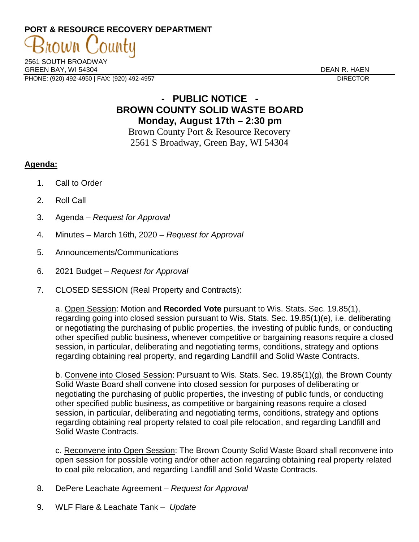## **PORT & RESOURCE RECOVERY DEPARTMENT**

2561 SOUTH BROADWAY GREEN BAY, WI 54304 DEAN R. HAEN PHONE: (920) 492-4950 | FAX: (920) 492-4957 DIRECTOR

rown

## **- PUBLIC NOTICE - BROWN COUNTY SOLID WASTE BOARD Monday, August 17th – 2:30 pm**

Brown County Port & Resource Recovery 2561 S Broadway, Green Bay, WI 54304

## **Agenda:**

- 1. Call to Order
- 2. Roll Call
- 3. Agenda *Request for Approval*
- 4. Minutes March 16th, 2020 *Request for Approval*
- 5. Announcements/Communications
- 6. 2021 Budget *Request for Approval*
- 7. CLOSED SESSION (Real Property and Contracts):

a. Open Session: Motion and **Recorded Vote** pursuant to Wis. Stats. Sec. 19.85(1), regarding going into closed session pursuant to Wis. Stats. Sec. 19.85(1)(e), i.e. deliberating or negotiating the purchasing of public properties, the investing of public funds, or conducting other specified public business, whenever competitive or bargaining reasons require a closed session, in particular, deliberating and negotiating terms, conditions, strategy and options regarding obtaining real property, and regarding Landfill and Solid Waste Contracts.

b. Convene into Closed Session: Pursuant to Wis. Stats. Sec. 19.85(1)(g), the Brown County Solid Waste Board shall convene into closed session for purposes of deliberating or negotiating the purchasing of public properties, the investing of public funds, or conducting other specified public business, as competitive or bargaining reasons require a closed session, in particular, deliberating and negotiating terms, conditions, strategy and options regarding obtaining real property related to coal pile relocation, and regarding Landfill and Solid Waste Contracts.

c. Reconvene into Open Session: The Brown County Solid Waste Board shall reconvene into open session for possible voting and/or other action regarding obtaining real property related to coal pile relocation, and regarding Landfill and Solid Waste Contracts.

- 8. DePere Leachate Agreement *Request for Approval*
- 9. WLF Flare & Leachate Tank *Update*